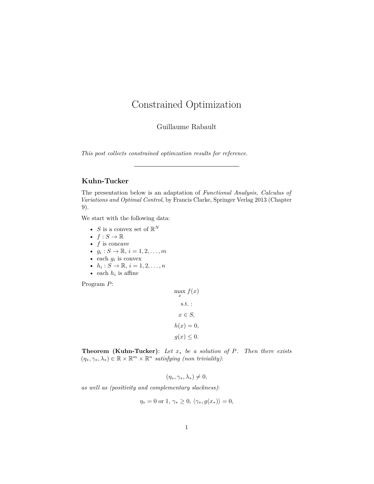# Constrained Optimization

Guillaume Rabault

*This post collects constrained optimzation results for reference.*

# **Kuhn-Tucker**

The presentation below is an adaptation of *Functional Analysis, Calculus of Variations and Optimal Control*, by Francis Clarke, Springer Verlag 2013 (Chapter 9).

We start with the following data:

- *S* is a convex set of  $\mathbb{R}^N$
- $f: S \to \mathbb{R}$
- *f* is concave
- $g_i: S \to \mathbb{R}, i = 1, 2, ..., m$
- each  $g_i$  is convex
- $h_i: S \to \mathbb{R}, i = 1, 2, ..., n$
- each  $h_i$  is affine

Program *P*:

 $\max_{x} f(x)$ s.t. : *x* ∈ *S,*  $h(x) = 0,$  $g(x) \leq 0$ .

**Theorem (Kuhn-Tucker)**: *Let x*<sup>∗</sup> *be a solution of P. Then there exists*  $(\eta_*, \gamma_*, \lambda_*) \in \mathbb{R} \times \mathbb{R}^m \times \mathbb{R}^n$  *satisfying (non triviality)*:

$$
(\eta_*, \gamma_*, \lambda_*) \neq 0,
$$

*as well as (positivity and complementary slackness)*:

$$
\eta_* = 0 \text{ or } 1, \, \gamma_* \ge 0, \, \langle \gamma_*, g(x_*) \rangle = 0,
$$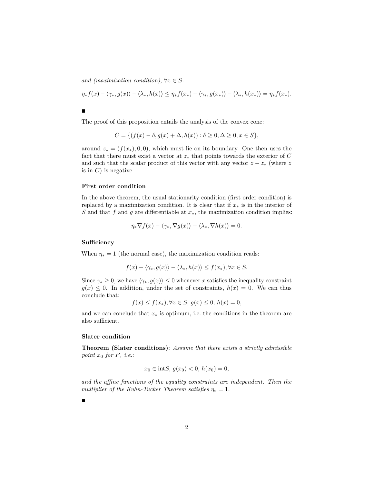*and (maximization condition)*,  $\forall x \in S$ :

$$
\eta_* f(x) - \langle \gamma_*, g(x) \rangle - \langle \lambda_*, h(x) \rangle \leq \eta_* f(x_*) - \langle \gamma_*, g(x_*) \rangle - \langle \lambda_*, h(x_*) \rangle = \eta_* f(x_*).
$$

 $\blacksquare$ 

The proof of this proposition entails the analysis of the convex cone:

$$
C = \{ (f(x) - \delta, g(x) + \Delta, h(x)) : \delta \ge 0, \Delta \ge 0, x \in S \},
$$

around  $z_* = (f(x_*), 0, 0)$ , which must lie on its boundary. One then uses the fact that there must exist a vector at  $z_*$  that points towards the exterior of  $C$ and such that the scalar product of this vector with any vector  $z - z_*$  (where  $z$ is in *C*) is negative.

#### **First order condition**

In the above theorem, the usual stationarity condition (first order condition) is replaced by a maximization condition. It is clear that if  $x_*$  is in the interior of *S* and that *f* and *g* are differentiable at *x*∗, the maximization condition implies:

$$
\eta_* \nabla f(x) - \langle \gamma_*, \nabla g(x) \rangle - \langle \lambda_*, \nabla h(x) \rangle = 0.
$$

## **Sufficiency**

When  $\eta_* = 1$  (the normal case), the maximization condition reads:

$$
f(x) - \langle \gamma_*, g(x) \rangle - \langle \lambda_*, h(x) \rangle \le f(x_*), \forall x \in S.
$$

Since  $\gamma_* \geq 0$ , we have  $\langle \gamma_*, g(x) \rangle \leq 0$  whenever *x* satisfies the inequality constraint  $g(x) \leq 0$ . In addition, under the set of constraints,  $h(x) = 0$ . We can thus conclude that:

$$
f(x) \le f(x_*) , \forall x \in S, g(x) \le 0, h(x) = 0,
$$

and we can conclude that  $x_*$  is optimum, i.e. the conditions in the theorem are also sufficient.

#### **Slater condition**

**Theorem (Slater conditions)**: *Assume that there exists a strictly admissible point x*<sup>0</sup> *for P, i.e.*:

$$
x_0 \in \text{int}S, g(x_0) < 0, h(x_0) = 0,
$$

*and the affine functions of the equality constraints are independent. Then the multiplier of the Kuhn-Tucker Theorem satisfies*  $\eta_* = 1$ .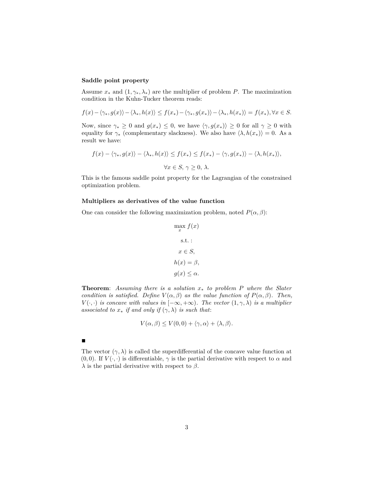# **Saddle point property**

Assume  $x_*$  and  $(1, \gamma_*, \lambda_*)$  are the multiplier of problem *P*. The maximization condition in the Kuhn-Tucker theorem reads:

$$
f(x) - \langle \gamma_*, g(x) \rangle - \langle \lambda_*, h(x) \rangle \le f(x_*) - \langle \gamma_*, g(x_*) \rangle - \langle \lambda_*, h(x_*) \rangle = f(x_*), \forall x \in S.
$$

Now, since  $\gamma_* \geq 0$  and  $g(x_*) \leq 0$ , we have  $\langle \gamma, g(x_*) \rangle \geq 0$  for all  $\gamma \geq 0$  with equality for  $\gamma_*$  (complementary slackness). We also have  $\langle \lambda, h(x_*) \rangle = 0$ . As a result we have:

$$
f(x) - \langle \gamma_*, g(x) \rangle - \langle \lambda_*, h(x) \rangle \le f(x_*) \le f(x_*) - \langle \gamma, g(x_*) \rangle - \langle \lambda, h(x_*) \rangle,
$$
  

$$
\forall x \in S, \, \gamma \ge 0, \, \lambda.
$$

This is the famous saddle point property for the Lagrangian of the constrained optimization problem.

## **Multipliers as derivatives of the value function**

One can consider the following maximization problem, noted  $P(\alpha, \beta)$ :

$$
\max_{x} f(x)
$$
  
s.t. :  

$$
x \in S,
$$
  

$$
h(x) = \beta,
$$
  

$$
g(x) \leq \alpha.
$$

**Theorem**: *Assuming there is a solution x*<sup>∗</sup> *to problem P where the Slater condition is satisfied.* Define  $V(\alpha, \beta)$  *as the value function of*  $P(\alpha, \beta)$ *. Then, V*( $\cdot$ *, ·*) *is concave with values in*  $[-\infty, +\infty)$ *. The vector*  $(1, \gamma, \lambda)$  *is a multiplier associated to*  $x_*$  *if and only if*  $(\gamma, \lambda)$  *is such that:* 

$$
V(\alpha, \beta) \le V(0, 0) + \langle \gamma, \alpha \rangle + \langle \lambda, \beta \rangle.
$$

 $\blacksquare$ 

The vector  $(\gamma, \lambda)$  is called the superdifferential of the concave value function at (0,0). If  $V(\cdot, \cdot)$  is differentiable,  $\gamma$  is the partial derivative with respect to  $\alpha$  and *λ* is the partial derivative with respect to *β*.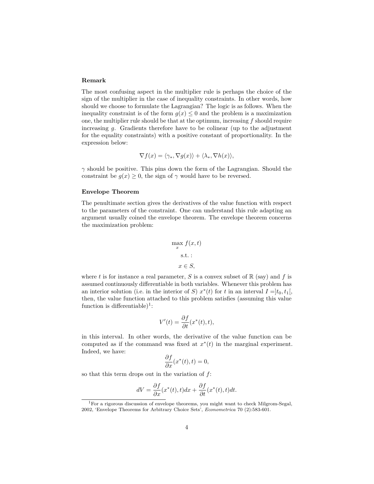#### **Remark**

The most confusing aspect in the multiplier rule is perhaps the choice of the sign of the multiplier in the case of inequality constraints. In other words, how should we choose to formulate the Lagrangian? The logic is as follows. When the inequality constraint is of the form  $g(x) \leq 0$  and the problem is a maximization one, the multiplier rule should be that at the optimum, increasing *f* should require increasing *g*. Gradients therefore have to be colinear (up to the adjustment for the equality constraints) with a positive constant of proportionality. In the expression below:

$$
\nabla f(x) = \langle \gamma_*, \nabla g(x) \rangle + \langle \lambda_*, \nabla h(x) \rangle,
$$

*γ* should be positive. This pins down the form of the Lagrangian. Should the constraint be  $q(x) \geq 0$ , the sign of  $\gamma$  would have to be reversed.

# **Envelope Theorem**

The penultimate section gives the derivatives of the value function with respect to the parameters of the constraint. One can understand this rule adapting an argument usually coined the envelope theorem. The envelope theorem concerns the maximization problem:

$$
\max_{x} f(x, t)
$$
  
s.t. :  
 $x \in S$ ,

where *t* is for instance a real parameter, *S* is a convex subset of  $\mathbb{R}$  (say) and *f* is assumed continuously differentiable in both variables. Whenever this problem has an interior solution (i.e. in the interior of *S*)  $x^*(t)$  for *t* in an interval  $I = ]t_0, t_1[,$ then, the value function attached to this problem satisfies (assuming this value function is differentiable)<sup>[1](#page-3-0)</sup>:

$$
V'(t) = \frac{\partial f}{\partial t}(x^*(t), t),
$$

in this interval. In other words, the derivative of the value function can be computed as if the command was fixed at  $x^*(t)$  in the marginal experiment. Indeed, we have:

$$
\frac{\partial f}{\partial x}(x^*(t), t) = 0,
$$

so that this term drops out in the variation of *f*:

$$
dV = \frac{\partial f}{\partial x}(x^*(t), t)dx + \frac{\partial f}{\partial t}(x^*(t), t)dt.
$$

<span id="page-3-0"></span><sup>&</sup>lt;sup>1</sup>For a rigorous discussion of envelope theorems, you might want to check Milgrom-Segal, 2002, 'Envelope Theorems for Arbitrary Choice Sets', *Econometrica* 70 (2):583-601.